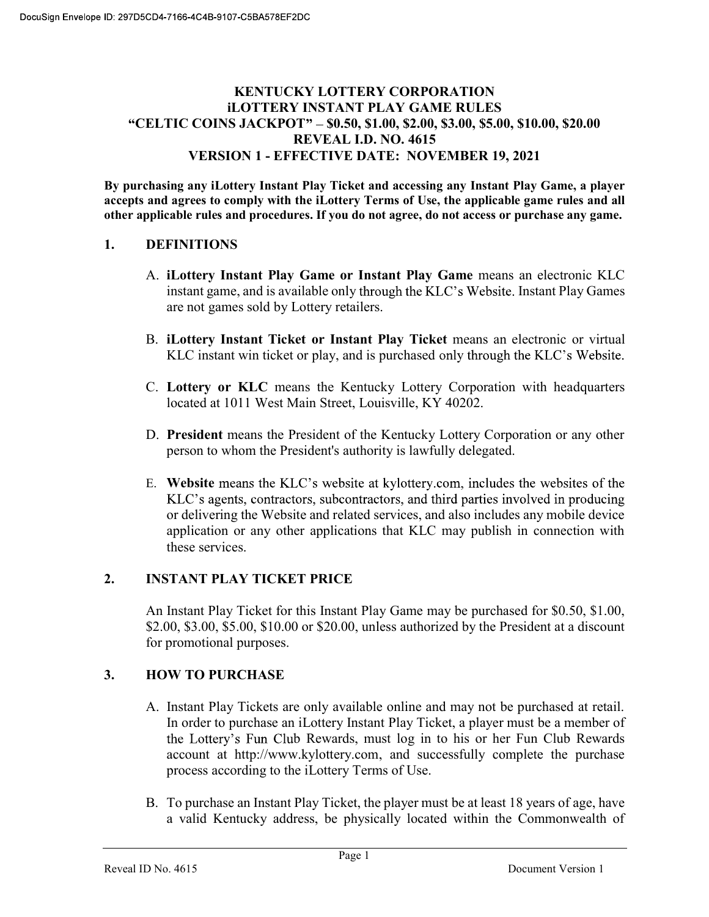# KENTUCKY LOTTERY CORPORATION iLOTTERY INSTANT PLAY GAME RULES "CELTIC COINS JACKPOT" - \$0.50, \$1.00, \$2.00, \$3.00, \$5.00, \$10.00, \$20.00 REVEAL I.D. NO. 4615 VERSION 1 - EFFECTIVE DATE: NOVEMBER 19, 2021

By purchasing any iLottery Instant Play Ticket and accessing any Instant Play Game, a player accepts and agrees to comply with the iLottery Terms of Use, the applicable game rules and all other applicable rules and procedures. If you do not agree, do not access or purchase any game.

# 1. DEFINITIONS

- A. iLottery Instant Play Game or Instant Play Game means an electronic KLC instant game, and is available only through the KLC's Website. Instant Play Games are not games sold by Lottery retailers.
- B. iLottery Instant Ticket or Instant Play Ticket means an electronic or virtual KLC instant win ticket or play, and is purchased only through the KLC's Website.
- C. Lottery or KLC means the Kentucky Lottery Corporation with headquarters located at 1011 West Main Street, Louisville, KY 40202.
- D. President means the President of the Kentucky Lottery Corporation or any other person to whom the President's authority is lawfully delegated.
- E. Website means the KLC's website at kylottery.com, includes the websites of the KLC's agents, contractors, subcontractors, and third parties involved in producing or delivering the Website and related services, and also includes any mobile device application or any other applications that KLC may publish in connection with these services.

# 2. INSTANT PLAY TICKET PRICE

An Instant Play Ticket for this Instant Play Game may be purchased for \$0.50, \$1.00, \$2.00, \$3.00, \$5.00, \$10.00 or \$20.00, unless authorized by the President at a discount for promotional purposes.

# 3. HOW TO PURCHASE

- A. Instant Play Tickets are only available online and may not be purchased at retail. In order to purchase an iLottery Instant Play Ticket, a player must be a member of the Lottery's Fun Club Rewards, must log in to his or her Fun Club Rewards account at http://www.kylottery.com, and successfully complete the purchase process according to the iLottery Terms of Use.
- B. To purchase an Instant Play Ticket, the player must be at least 18 years of age, have a valid Kentucky address, be physically located within the Commonwealth of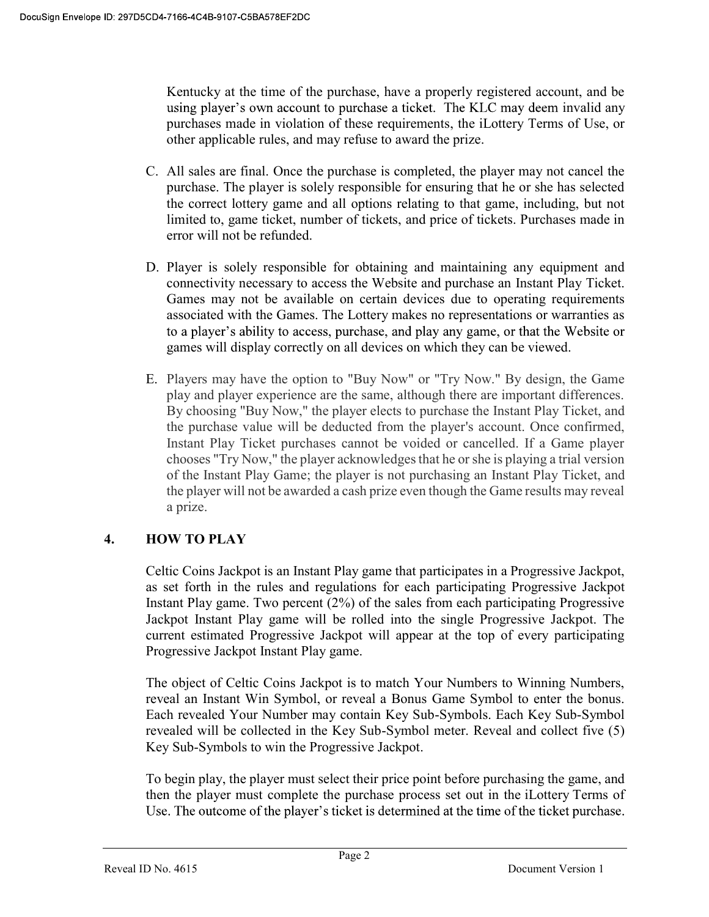Kentucky at the time of the purchase, have a properly registered account, and be using player's own account to purchase a ticket. The KLC may deem invalid any purchases made in violation of these requirements, the iLottery Terms of Use, or other applicable rules, and may refuse to award the prize.

- C. All sales are final. Once the purchase is completed, the player may not cancel the purchase. The player is solely responsible for ensuring that he or she has selected the correct lottery game and all options relating to that game, including, but not limited to, game ticket, number of tickets, and price of tickets. Purchases made in error will not be refunded.
- D. Player is solely responsible for obtaining and maintaining any equipment and connectivity necessary to access the Website and purchase an Instant Play Ticket. Games may not be available on certain devices due to operating requirements associated with the Games. The Lottery makes no representations or warranties as to a player's ability to access, purchase, and play any game, or that the Website or games will display correctly on all devices on which they can be viewed.
- E. Players may have the option to "Buy Now" or "Try Now." By design, the Game play and player experience are the same, although there are important differences. By choosing "Buy Now," the player elects to purchase the Instant Play Ticket, and the purchase value will be deducted from the player's account. Once confirmed, Instant Play Ticket purchases cannot be voided or cancelled. If a Game player chooses "Try Now," the player acknowledges that he or she is playing a trial version of the Instant Play Game; the player is not purchasing an Instant Play Ticket, and the player will not be awarded a cash prize even though the Game results may reveal a prize.

# 4. HOW TO PLAY

Celtic Coins Jackpot is an Instant Play game that participates in a Progressive Jackpot, as set forth in the rules and regulations for each participating Progressive Jackpot Instant Play game. Two percent (2%) of the sales from each participating Progressive Jackpot Instant Play game will be rolled into the single Progressive Jackpot. The current estimated Progressive Jackpot will appear at the top of every participating Progressive Jackpot Instant Play game.

The object of Celtic Coins Jackpot is to match Your Numbers to Winning Numbers, reveal an Instant Win Symbol, or reveal a Bonus Game Symbol to enter the bonus. Each revealed Your Number may contain Key Sub-Symbols. Each Key Sub-Symbol revealed will be collected in the Key Sub-Symbol meter. Reveal and collect five (5) Key Sub-Symbols to win the Progressive Jackpot.

To begin play, the player must select their price point before purchasing the game, and then the player must complete the purchase process set out in the iLottery Terms of Use. The outcome of the player's ticket is determined at the time of the ticket purchase.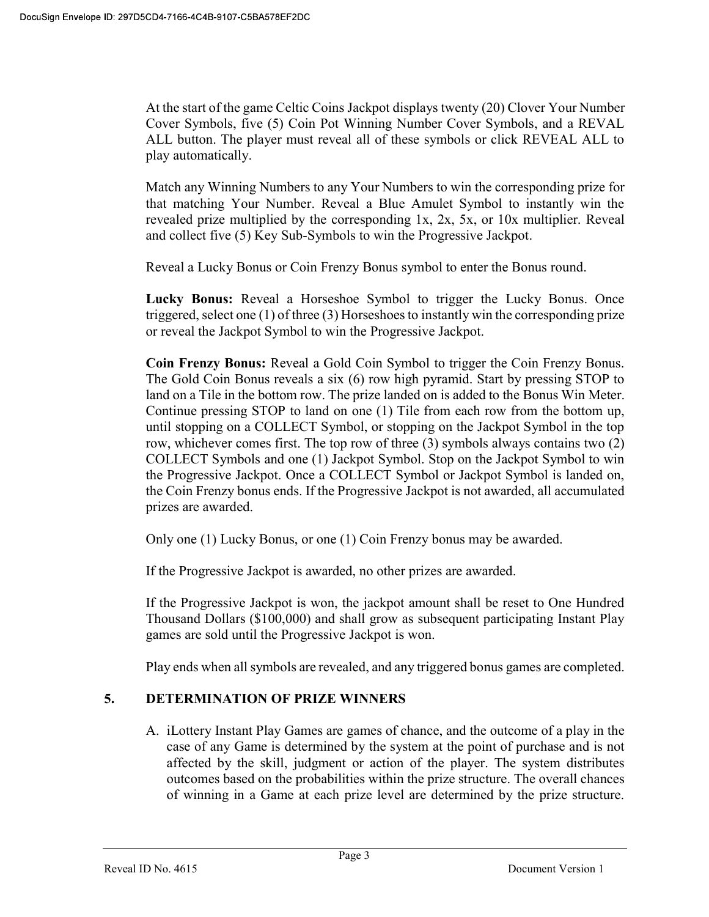At the start of the game Celtic Coins Jackpot displays twenty (20) Clover Your Number Cover Symbols, five (5) Coin Pot Winning Number Cover Symbols, and a REVAL ALL button. The player must reveal all of these symbols or click REVEAL ALL to play automatically.

Match any Winning Numbers to any Your Numbers to win the corresponding prize for that matching Your Number. Reveal a Blue Amulet Symbol to instantly win the revealed prize multiplied by the corresponding 1x, 2x, 5x, or 10x multiplier. Reveal and collect five (5) Key Sub-Symbols to win the Progressive Jackpot.

Reveal a Lucky Bonus or Coin Frenzy Bonus symbol to enter the Bonus round.

Lucky Bonus: Reveal a Horseshoe Symbol to trigger the Lucky Bonus. Once triggered, select one (1) of three (3) Horseshoes to instantly win the corresponding prize or reveal the Jackpot Symbol to win the Progressive Jackpot.

Coin Frenzy Bonus: Reveal a Gold Coin Symbol to trigger the Coin Frenzy Bonus. The Gold Coin Bonus reveals a six (6) row high pyramid. Start by pressing STOP to land on a Tile in the bottom row. The prize landed on is added to the Bonus Win Meter. Continue pressing STOP to land on one (1) Tile from each row from the bottom up, until stopping on a COLLECT Symbol, or stopping on the Jackpot Symbol in the top row, whichever comes first. The top row of three (3) symbols always contains two (2) COLLECT Symbols and one (1) Jackpot Symbol. Stop on the Jackpot Symbol to win the Progressive Jackpot. Once a COLLECT Symbol or Jackpot Symbol is landed on, the Coin Frenzy bonus ends. If the Progressive Jackpot is not awarded, all accumulated prizes are awarded.

Only one (1) Lucky Bonus, or one (1) Coin Frenzy bonus may be awarded.

If the Progressive Jackpot is awarded, no other prizes are awarded.

If the Progressive Jackpot is won, the jackpot amount shall be reset to One Hundred Thousand Dollars (\$100,000) and shall grow as subsequent participating Instant Play games are sold until the Progressive Jackpot is won.

Play ends when all symbols are revealed, and any triggered bonus games are completed.

# 5. DETERMINATION OF PRIZE WINNERS

A. iLottery Instant Play Games are games of chance, and the outcome of a play in the case of any Game is determined by the system at the point of purchase and is not affected by the skill, judgment or action of the player. The system distributes outcomes based on the probabilities within the prize structure. The overall chances of winning in a Game at each prize level are determined by the prize structure.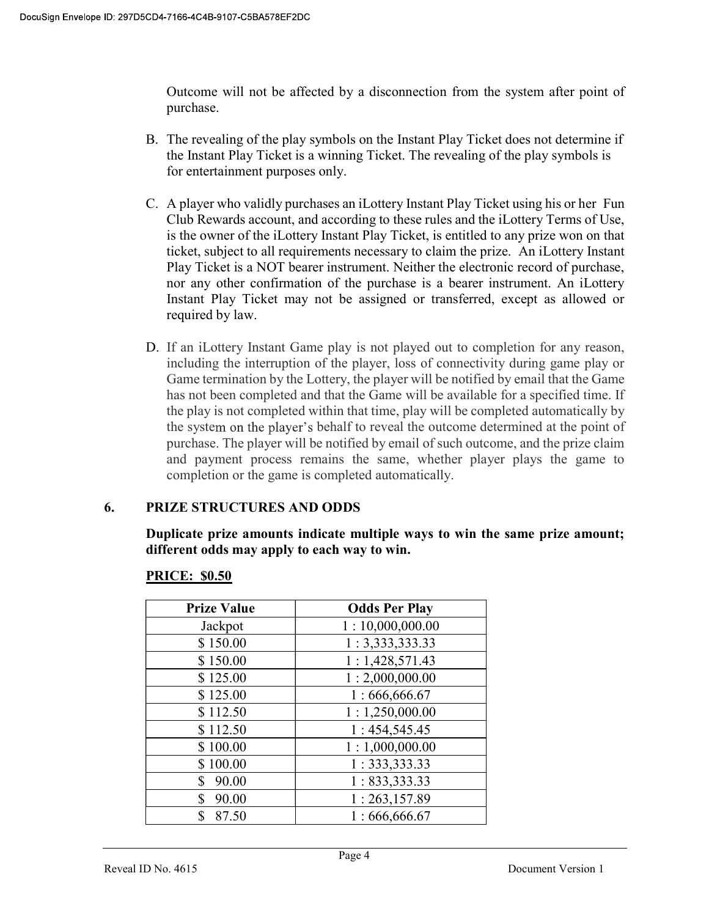Outcome will not be affected by a disconnection from the system after point of purchase.

- B. The revealing of the play symbols on the Instant Play Ticket does not determine if the Instant Play Ticket is a winning Ticket. The revealing of the play symbols is for entertainment purposes only.
- C. A player who validly purchases an iLottery Instant Play Ticket using his or her Fun Club Rewards account, and according to these rules and the iLottery Terms of Use, is the owner of the iLottery Instant Play Ticket, is entitled to any prize won on that ticket, subject to all requirements necessary to claim the prize. An iLottery Instant Play Ticket is a NOT bearer instrument. Neither the electronic record of purchase, nor any other confirmation of the purchase is a bearer instrument. An iLottery Instant Play Ticket may not be assigned or transferred, except as allowed or required by law.
- D. If an iLottery Instant Game play is not played out to completion for any reason, including the interruption of the player, loss of connectivity during game play or Game termination by the Lottery, the player will be notified by email that the Game has not been completed and that the Game will be available for a specified time. If the play is not completed within that time, play will be completed automatically by the system on the player's behalf to reveal the outcome determined at the point of purchase. The player will be notified by email of such outcome, and the prize claim and payment process remains the same, whether player plays the game to completion or the game is completed automatically.

# 6. PRIZE STRUCTURES AND ODDS

Duplicate prize amounts indicate multiple ways to win the same prize amount; different odds may apply to each way to win.

| <b>Prize Value</b> | <b>Odds Per Play</b> |
|--------------------|----------------------|
| Jackpot            | 1:10,000,000.00      |
| \$150.00           | 1: 3,333,333.33      |
| \$150.00           | 1:1,428,571.43       |
| \$125.00           | 1:2,000,000.00       |
| \$125.00           | 1:666,666.67         |
| \$112.50           | 1:1,250,000.00       |
| \$112.50           | 1:454,545.45         |
| \$100.00           | 1:1,000,000.00       |
| \$100.00           | 1: 333, 333.33       |
| 90.00<br>\$        | 1: 833,333.33        |
| \$<br>90.00        | 1:263,157.89         |
| \$<br>87.50        | 1:666,666.67         |

# PRICE: \$0.50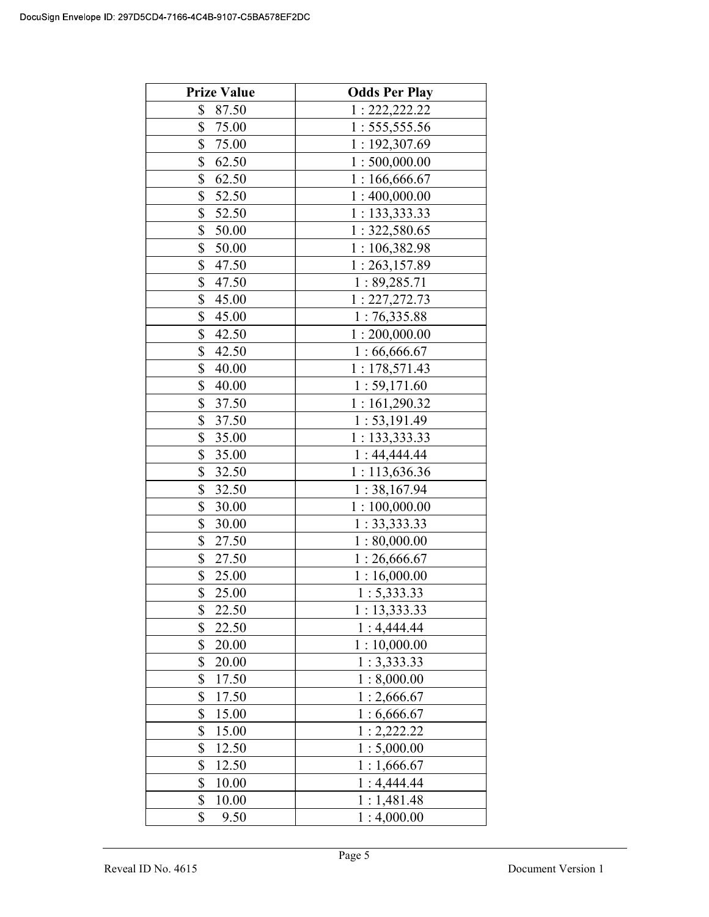| <b>Prize Value</b> | <b>Odds Per Play</b> |
|--------------------|----------------------|
| \$<br>87.50        | 1: 222, 222.22       |
| \$<br>75.00        | 1: 555, 555.56       |
| \$<br>75.00        | 1:192,307.69         |
| \$<br>62.50        | 1:500,000.00         |
| \$<br>62.50        | 1:166,666.67         |
| \$<br>52.50        | 1:400,000.00         |
| \$<br>52.50        | 1: 133, 333.33       |
| \$<br>50.00        | 1: 322, 580.65       |
| \$<br>50.00        | 1:106,382.98         |
| \$<br>47.50        | 1:263,157.89         |
| \$<br>47.50        | 1:89,285.71          |
| \$<br>45.00        | 1: 227, 272.73       |
| \$<br>45.00        | 1:76,335.88          |
| \$<br>42.50        | 1:200,000.00         |
| \$<br>42.50        | 1:66,666.67          |
| \$<br>40.00        | 1:178,571.43         |
| \$<br>40.00        | 1:59,171.60          |
| \$<br>37.50        | 1:161,290.32         |
| \$<br>37.50        | 1: 53, 191.49        |
| \$<br>35.00        | 1: 133,333.33        |
| \$<br>35.00        | 1:44,444.44          |
| \$<br>32.50        | 1:113,636.36         |
| \$<br>32.50        | 1:38,167.94          |
| \$<br>30.00        | 1:100,000.00         |
| \$<br>30.00        | 1: 33,333.33         |
| \$<br>27.50        | 1:80,000.00          |
| \$<br>27.50        | 1:26,666.67          |
| \$<br>25.00        | 1:16,000.00          |
| \$<br>25.00        | 1: 5,333.33          |
| 22.50<br>\$        | 1:13,333.33          |
| \$<br>22.50        | 1:4,444.44           |
| \$<br>20.00        | 1:10,000.00          |
| \$<br>20.00        | 1:3,333.33           |
| \$<br>17.50        | 1:8,000.00           |
| \$<br>17.50        | 1:2,666.67           |
| \$<br>15.00        | 1:6,666.67           |
| \$<br>15.00        | 1:2,222.22           |
| \$<br>12.50        | 1:5,000.00           |
| \$<br>12.50        | 1:1,666.67           |
| \$<br>10.00        | 1:4,444.44           |
| \$<br>10.00        | 1:1,481.48           |
| \$<br>9.50         | 1:4,000.00           |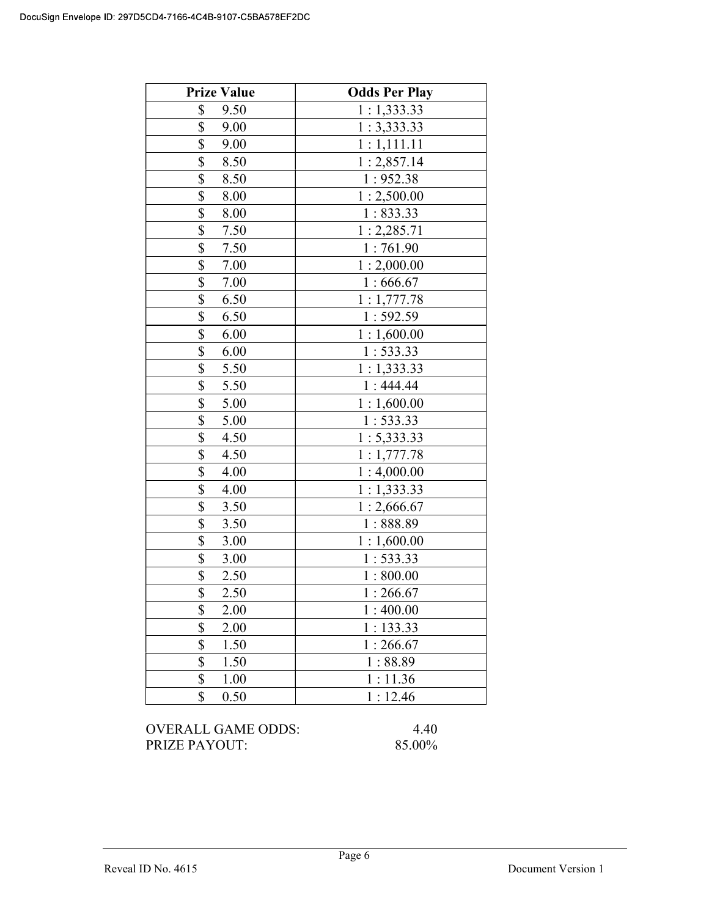| <b>Prize Value</b>              | <b>Odds Per Play</b> |
|---------------------------------|----------------------|
| \$<br>9.50                      | 1:1,333.33           |
| \$<br>9.00                      | 1:3,333.33           |
| \$<br>9.00                      | 1:1,111.11           |
| \$<br>8.50                      | 1:2,857.14           |
| \$<br>8.50                      | 1:952.38             |
| \$<br>8.00                      | 1:2,500.00           |
| \$<br>8.00                      | 1:833.33             |
| \$<br>7.50                      | 1:2,285.71           |
| \$<br>7.50                      | 1:761.90             |
| \$<br>7.00                      | 1:2,000.00           |
| \$<br>7.00                      | 1:666.67             |
| \$<br>6.50                      | 1:1,777.78           |
| \$<br>6.50                      | 1:592.59             |
| \$<br>6.00                      | 1:1,600.00           |
| \$<br>6.00                      | 1:533.33             |
| \$<br>5.50                      | 1:1,333.33           |
| \$<br>5.50                      | 1:444.44             |
| \$<br>5.00                      | 1:1,600.00           |
| \$<br>5.00                      | 1:533.33             |
| \$<br>4.50                      | 1: 5,333.33          |
| $\frac{1}{2}$<br>4.50           | 1:1,777.78           |
| \$<br>4.00                      | 1:4,000.00           |
| $\overline{\mathbb{S}}$<br>4.00 | 1:1,333.33           |
| \$<br>3.50                      | 1:2,666.67           |
| \$<br>3.50                      | 1:888.89             |
| \$<br>3.00                      | 1:1,600.00           |
| \$<br>3.00                      | 1:533.33             |
| \$<br>2.50                      | 1:800.00             |
| \$<br>2.50                      | 1:266.67             |
| \$<br>2.00                      | 1:400.00             |
| \$<br>2.00                      | 1:133.33             |
| \$<br>1.50                      | 1:266.67             |
| \$<br>1.50                      | 1:88.89              |
| \$<br>1.00                      | 1:11.36              |
| \$<br>0.50                      | 1:12.46              |

OVERALL GAME ODDS: 4.40 PRIZE PAYOUT: 85.00%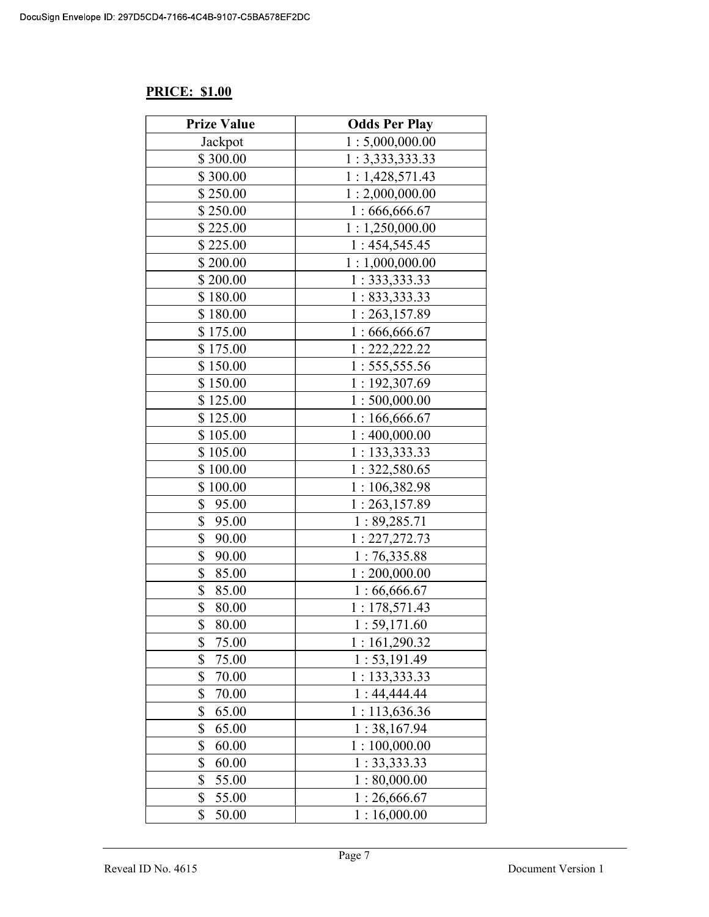# PRICE: \$1.00

| <b>Prize Value</b> | <b>Odds Per Play</b> |
|--------------------|----------------------|
| Jackpot            | 1:5,000,000.00       |
| \$300.00           | 1: 3,333,333.33      |
| \$300.00           | 1:1,428,571.43       |
| \$250.00           | 1:2,000,000.00       |
| \$250.00           | 1:666,666.67         |
| \$225.00           | 1:1,250,000.00       |
| \$225.00           | 1:454,545.45         |
| \$200.00           | 1:1,000,000.00       |
| \$200.00           | 1:333,333.33         |
| \$180.00           | 1: 833,333.33        |
| \$180.00           | 1:263,157.89         |
| \$175.00           | 1:666,666.67         |
| \$175.00           | 1: 222, 222.22       |
| \$150.00           | 1: 555, 555.56       |
| \$150.00           | 1:192,307.69         |
| \$125.00           | 1:500,000.00         |
| \$125.00           | 1:166,666.67         |
| \$105.00           | 1:400,000.00         |
| \$105.00           | 1: 133,333.33        |
| \$100.00           | 1:322,580.65         |
| \$100.00           | 1:106,382.98         |
| \$<br>95.00        | 1:263,157.89         |
| \$<br>95.00        | 1:89,285.71          |
| \$<br>90.00        | 1: 227, 272.73       |
| \$<br>90.00        | 1:76,335.88          |
| \$<br>85.00        | 1:200,000.00         |
| \$<br>85.00        | 1:66,666.67          |
| \$<br>80.00        | 1:178,571.43         |
| \$<br>80.00        | 1:59,171.60          |
| \$<br>75.00        | 1:161,290.32         |
| \$<br>75.00        | 1: 53, 191.49        |
| \$<br>70.00        | 1: 133,333.33        |
| \$<br>70.00        | 1:44,444.44          |
| \$<br>65.00        | 1:113,636.36         |
| \$<br>65.00        | 1:38,167.94          |
| \$<br>60.00        | 1:100,000.00         |
| \$<br>60.00        | 1: 33,333.33         |
| \$<br>55.00        | 1:80,000.00          |
| \$<br>55.00        | 1:26,666.67          |
| \$<br>50.00        | 1:16,000.00          |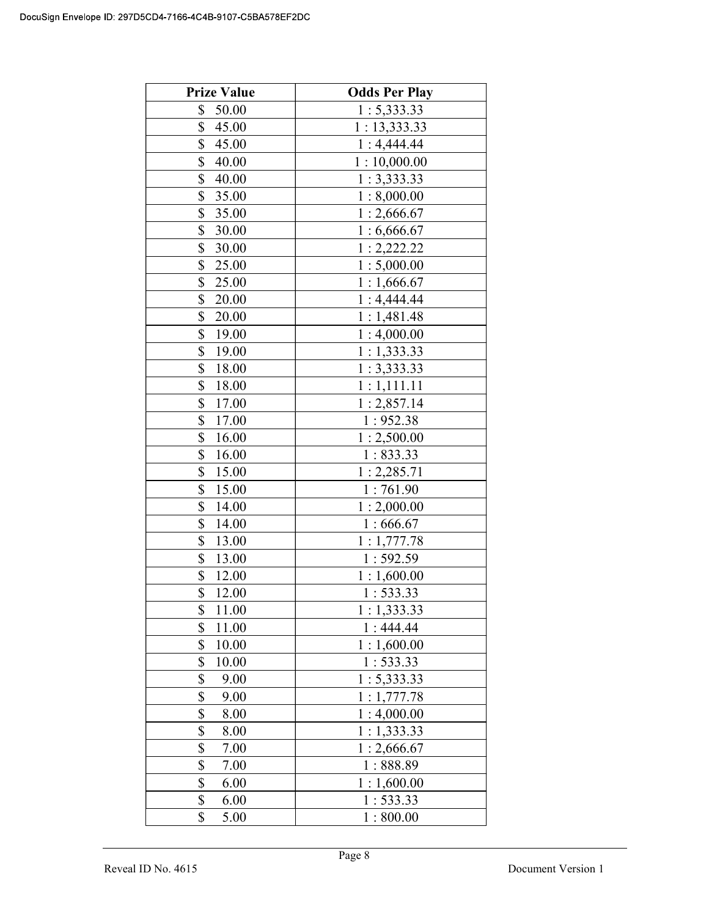| <b>Prize Value</b> | <b>Odds Per Play</b> |
|--------------------|----------------------|
| \$<br>50.00        | 1: 5,333.33          |
| \$<br>45.00        | 1:13,333.33          |
| \$<br>45.00        | 1:4,444.44           |
| \$<br>40.00        | 1:10,000.00          |
| \$<br>40.00        | 1:3,333.33           |
| \$<br>35.00        | 1:8,000.00           |
| \$<br>35.00        | 1:2,666.67           |
| \$<br>30.00        | 1:6,666.67           |
| \$<br>30.00        | 1:2,222.22           |
| \$<br>25.00        | 1:5,000.00           |
| \$<br>25.00        | 1:1,666.67           |
| \$<br>20.00        | 1:4,444.44           |
| \$<br>20.00        | 1:1,481.48           |
| \$<br>19.00        | 1:4,000.00           |
| \$<br>19.00        | 1:1,333.33           |
| \$<br>18.00        | 1:3,333.33           |
| \$<br>18.00        | 1:1,111.11           |
| \$<br>17.00        | 1:2,857.14           |
| \$<br>17.00        | 1:952.38             |
| \$<br>16.00        | 1:2,500.00           |
| \$<br>16.00        | 1:833.33             |
| \$<br>15.00        | 1:2,285.71           |
| \$<br>15.00        | 1:761.90             |
| \$<br>14.00        | 1:2,000.00           |
| \$<br>14.00        | 1:666.67             |
| \$<br>13.00        | 1:1,777.78           |
| \$<br>13.00        | 1:592.59             |
| \$<br>12.00        | 1:1,600.00           |
| \$<br>12.00        | 1:533.33             |
| \$<br>11.00        | 1:1,333.33           |
| \$<br>11.00        | 1:444.44             |
| \$<br>10.00        | 1:1,600.00           |
| \$<br>10.00        | 1:533.33             |
| \$<br>9.00         | 1: 5,333.33          |
| \$<br>9.00         | 1:1,777.78           |
| \$<br>8.00         | 1:4,000.00           |
| \$<br>8.00         | 1:1,333.33           |
| \$<br>7.00         | 1:2,666.67           |
| \$<br>7.00         | 1:888.89             |
| \$<br>6.00         | 1:1,600.00           |
| \$<br>6.00         | 1:533.33             |
| \$<br>5.00         | 1:800.00             |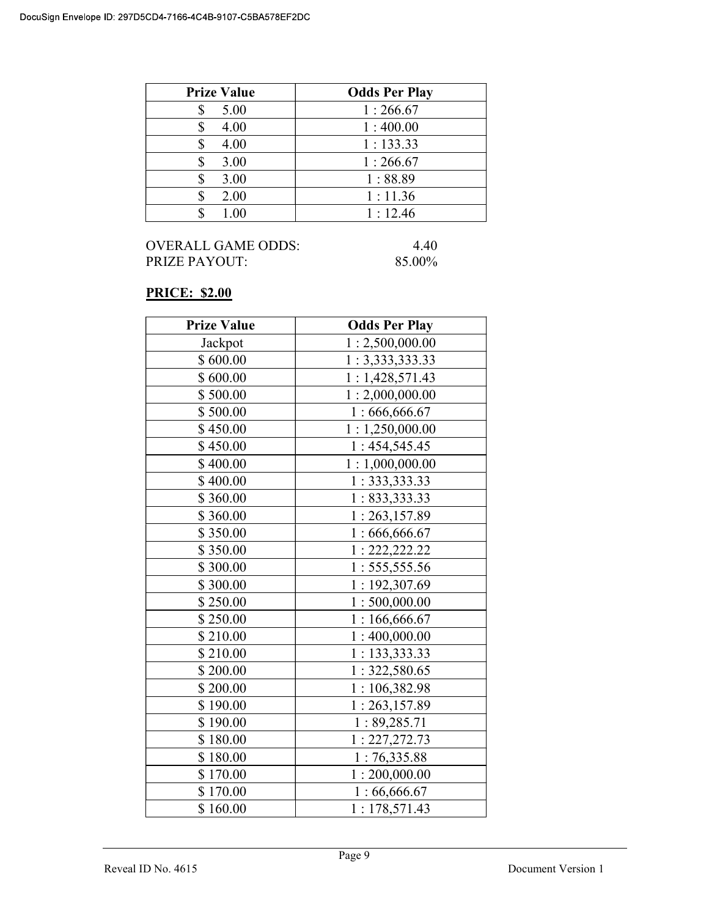| <b>Prize Value</b> | <b>Odds Per Play</b> |
|--------------------|----------------------|
| 5.00               | 1:266.67             |
| 4.00               | 1:400.00             |
| 4.00               | 1:133.33             |
| 3.00               | 1:266.67             |
| 3.00               | 1:88.89              |
| 2.00               | 1:11.36              |
| 1.00               | 1:12.46              |

| <b>OVERALL GAME ODDS:</b> | 440    |
|---------------------------|--------|
| <b>PRIZE PAYOUT:</b>      | 85.00% |

# PRICE: \$2.00

| <b>Prize Value</b> | <b>Odds Per Play</b> |
|--------------------|----------------------|
| Jackpot            | 1:2,500,000.00       |
| \$600.00           | 1: 3,333,333.33      |
| \$600.00           | 1:1,428,571.43       |
| \$500.00           | 1:2,000,000.00       |
| \$500.00           | 1:666,666.67         |
| \$450.00           | 1:1,250,000.00       |
| \$450.00           | 1:454,545.45         |
| \$400.00           | 1:1,000,000.00       |
| \$400.00           | 1:333,333.33         |
| \$360.00           | 1: 833,333.33        |
| \$360.00           | 1:263,157.89         |
| \$350.00           | 1:666,666.67         |
| \$350.00           | 1: 222, 222.22       |
| \$300.00           | 1: 555, 555.56       |
| \$300.00           | 1:192,307.69         |
| \$250.00           | 1:500,000.00         |
| \$250.00           | 1:166,666.67         |
| \$210.00           | 1:400,000.00         |
| \$210.00           | 1: 133,333.33        |
| \$200.00           | 1: 322,580.65        |
| \$200.00           | 1:106,382.98         |
| \$190.00           | 1:263,157.89         |
| \$190.00           | 1:89,285.71          |
| \$180.00           | 1: 227, 272.73       |
| \$180.00           | 1:76,335.88          |
| \$170.00           | 1:200,000.00         |
| \$170.00           | 1:66,666.67          |
| \$160.00           | 1:178,571.43         |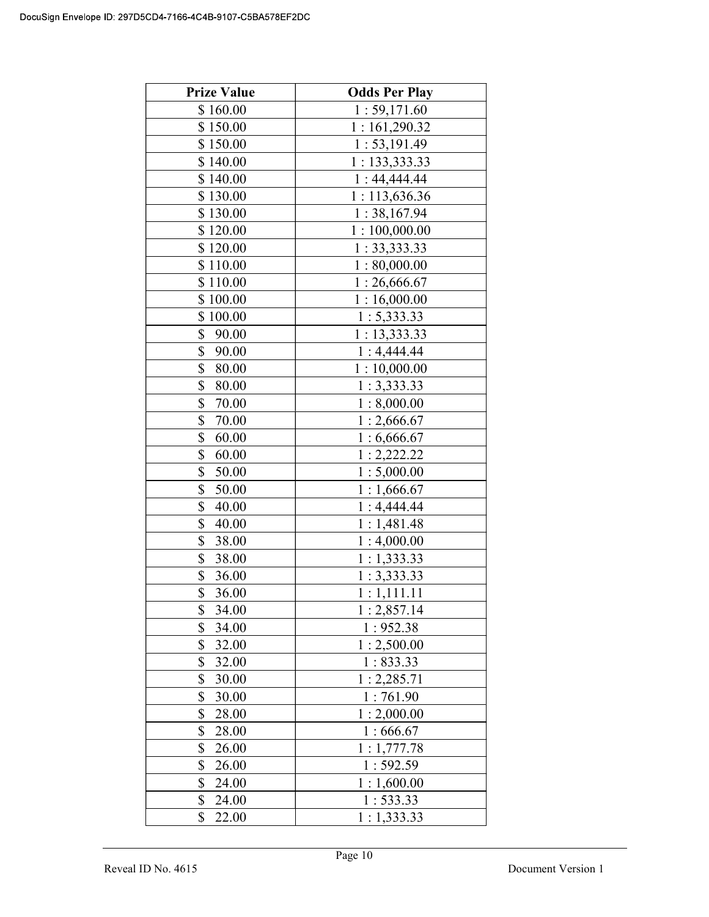| <b>Prize Value</b> | <b>Odds Per Play</b> |
|--------------------|----------------------|
| \$160.00           | 1:59,171.60          |
| \$150.00           | 1:161,290.32         |
| \$150.00           | 1: 53, 191.49        |
| \$140.00           | 1: 133,333.33        |
| \$140.00           | 1:44,444.44          |
| \$130.00           | 1:113,636.36         |
| \$130.00           | 1:38,167.94          |
| \$120.00           | 1:100,000.00         |
| \$120.00           | 1:33,333.33          |
| \$110.00           | 1:80,000.00          |
| \$110.00           | 1:26,666.67          |
| \$100.00           | 1:16,000.00          |
| \$100.00           | 1: 5,333.33          |
| \$<br>90.00        | 1:13,333.33          |
| \$<br>90.00        | 1:4,444.44           |
| \$<br>80.00        | 1:10,000.00          |
| \$<br>80.00        | 1:3,333.33           |
| \$<br>70.00        | 1:8,000.00           |
| \$<br>70.00        | 1:2,666.67           |
| \$<br>60.00        | 1:6,666.67           |
| \$<br>60.00        | 1:2,222.22           |
| \$<br>50.00        | 1:5,000.00           |
| \$<br>50.00        | 1:1,666.67           |
| \$<br>40.00        | 1:4,444.44           |
| \$<br>40.00        | 1:1,481.48           |
| \$<br>38.00        | 1:4,000.00           |
| \$<br>38.00        | 1:1,333.33           |
| \$<br>36.00        | 1:3,333.33           |
| \$<br>36.00        | 1 : 1,111.11         |
| \$<br>34.00        | 1:2,857.14           |
| \$<br>34.00        | 1:952.38             |
| \$<br>32.00        | 1:2,500.00           |
| \$<br>32.00        | 1:833.33             |
| \$<br>30.00        | 1:2,285.71           |
| \$<br>30.00        | 1:761.90             |
| \$<br>28.00        | 1:2,000.00           |
| \$<br>28.00        | 1:666.67             |
| \$<br>26.00        | 1:1,777.78           |
| \$<br>26.00        | 1:592.59             |
| \$<br>24.00        | 1:1,600.00           |
| \$<br>24.00        | 1:533.33             |
| \$<br>22.00        | 1:1,333.33           |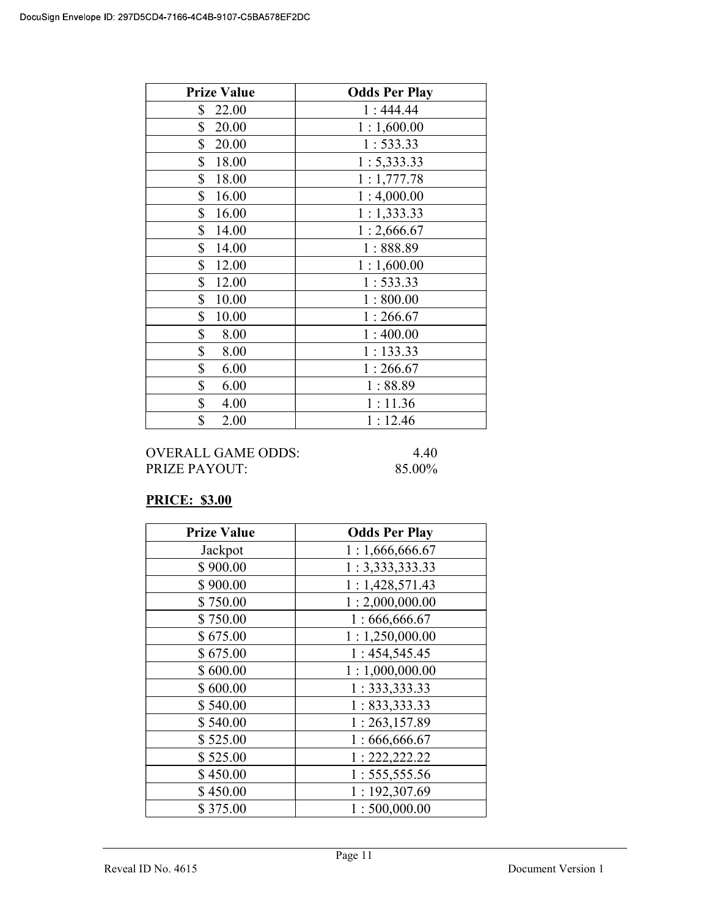| <b>Prize Value</b> | <b>Odds Per Play</b> |
|--------------------|----------------------|
| \$<br>22.00        | 1:444.44             |
| \$<br>20.00        | 1:1,600.00           |
| \$<br>20.00        | 1:533.33             |
| \$<br>18.00        | 1: 5,333.33          |
| \$<br>18.00        | 1:1,777.78           |
| \$<br>16.00        | 1:4,000.00           |
| \$<br>16.00        | 1:1,333.33           |
| \$<br>14.00        | 1:2,666.67           |
| \$<br>14.00        | 1:888.89             |
| \$<br>12.00        | 1:1,600.00           |
| \$<br>12.00        | 1:533.33             |
| \$<br>10.00        | 1:800.00             |
| \$<br>10.00        | 1:266.67             |
| \$<br>8.00         | 1:400.00             |
| \$<br>8.00         | 1:133.33             |
| \$<br>6.00         | 1:266.67             |
| \$<br>6.00         | 1:88.89              |
| \$<br>4.00         | 1:11.36              |
| \$<br>2.00         | 1:12.46              |

OVERALL GAME ODDS: 4.40 PRIZE PAYOUT: 85.00%

# PRICE: \$3.00

| <b>Prize Value</b> | <b>Odds Per Play</b> |
|--------------------|----------------------|
| Jackpot            | 1:1,666,666.67       |
| \$900.00           | 1: 3,333,333.33      |
| \$900.00           | 1:1,428,571.43       |
| \$750.00           | 1:2,000,000.00       |
| \$750.00           | 1:666,666.67         |
| \$675.00           | 1:1,250,000.00       |
| \$675.00           | 1:454,545.45         |
| \$600.00           | 1:1,000,000.00       |
| \$600.00           | 1: 333, 333.33       |
| \$540.00           | 1: 833,333.33        |
| \$540.00           | 1:263,157.89         |
| \$525.00           | 1:666,666.67         |
| \$525.00           | 1: 222, 222.22       |
| \$450.00           | 1: 555, 555.56       |
| \$450.00           | 1:192,307.69         |
| \$375.00           | 1:500,000.00         |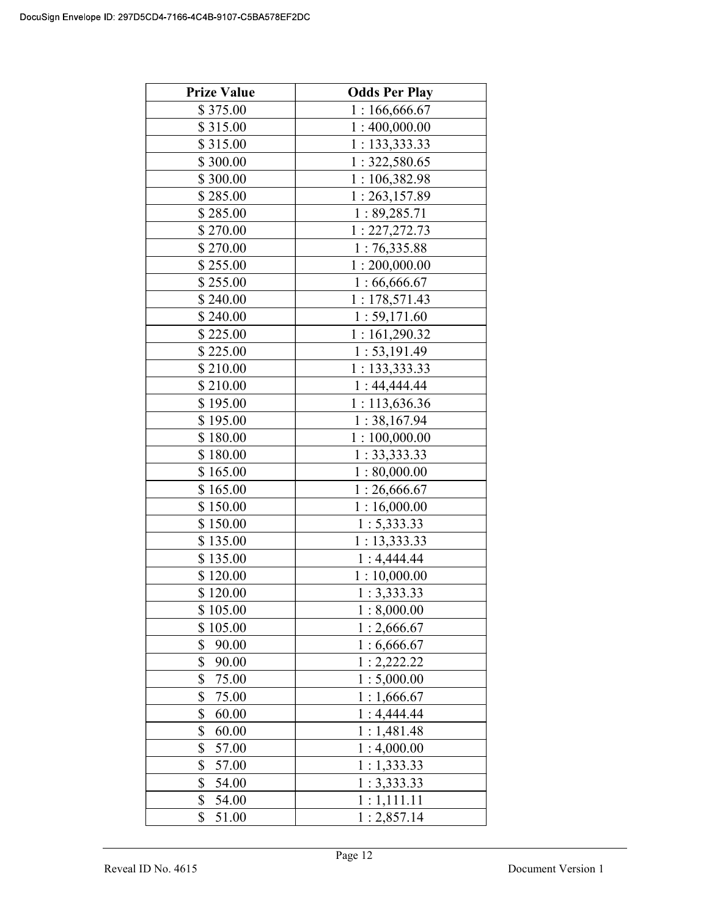| <b>Prize Value</b> | <b>Odds Per Play</b> |
|--------------------|----------------------|
| \$375.00           | 1:166,666.67         |
| \$315.00           | 1:400,000.00         |
| \$315.00           | 1:133,333.33         |
| \$300.00           | 1:322,580.65         |
| \$300.00           | 1:106,382.98         |
| \$285.00           | 1:263,157.89         |
| \$285.00           | 1:89,285.71          |
| \$270.00           | 1: 227, 272.73       |
| \$270.00           | 1:76,335.88          |
| \$255.00           | 1:200,000.00         |
| \$255.00           | 1:66,666.67          |
| \$240.00           | 1:178,571.43         |
| \$240.00           | 1:59,171.60          |
| \$225.00           | 1:161,290.32         |
| \$225.00           | 1: 53, 191.49        |
| \$210.00           | 1: 133,333.33        |
| \$210.00           | 1:44,444.44          |
| \$195.00           | 1:113,636.36         |
| \$195.00           | 1:38,167.94          |
| \$180.00           | 1:100,000.00         |
| \$180.00           | 1: 33,333.33         |
| \$165.00           | 1:80,000.00          |
| \$165.00           | 1:26,666.67          |
| \$150.00           | 1:16,000.00          |
| \$150.00           | 1: 5,333.33          |
| \$135.00           | 1: 13,333.33         |
| \$135.00           | 1:4,444.44           |
| \$120.00           | 1:10,000.00          |
| \$120.00           | 1:3,333.33           |
| \$105.00           | 1:8,000.00           |
| \$<br>105.00       | 1:2,666.67           |
| \$<br>90.00        | 1:6,666.67           |
| \$<br>90.00        | 1:2,222.22           |
| \$<br>75.00        | 1:5,000.00           |
| \$<br>75.00        | 1:1,666.67           |
| \$<br>60.00        | 1:4,444.44           |
| \$<br>60.00        | 1:1,481.48           |
| \$<br>57.00        | 1:4,000.00           |
| \$<br>57.00        | 1:1,333.33           |
| \$<br>54.00        | 1:3,333.33           |
| \$<br>54.00        | 1:1,111.11           |
| \$<br>51.00        | 1:2,857.14           |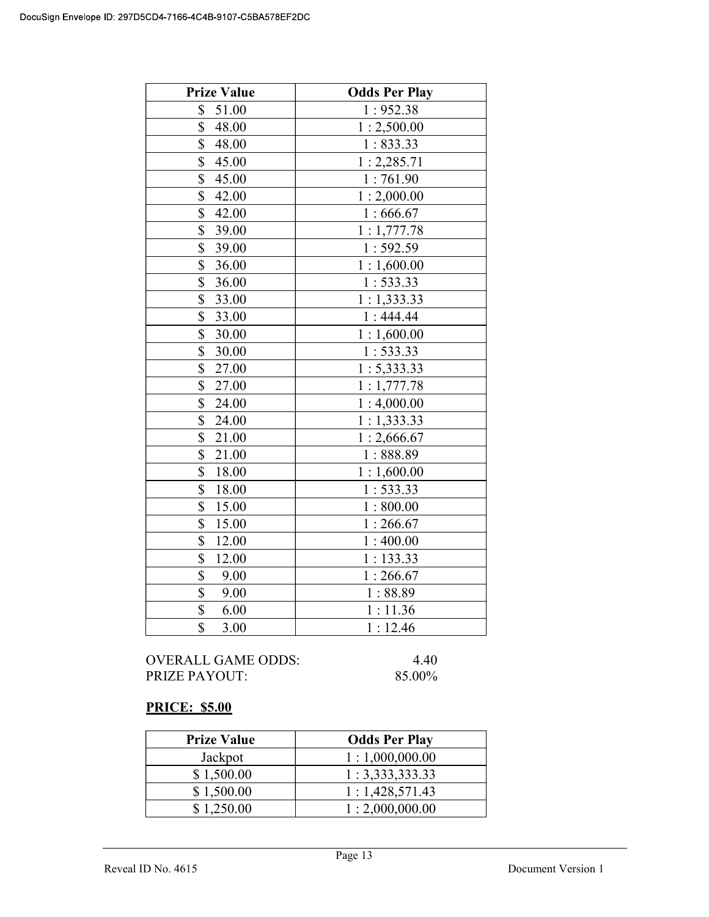| <b>Prize Value</b>                 | <b>Odds Per Play</b> |
|------------------------------------|----------------------|
| 51.00<br>\$                        | 1:952.38             |
| \$<br>48.00                        | 1:2,500.00           |
| \$<br>48.00                        | 1:833.33             |
| \$<br>45.00                        | 1:2,285.71           |
| \$<br>45.00                        | 1:761.90             |
| \$<br>42.00                        | 1:2,000.00           |
| \$<br>42.00                        | 1:666.67             |
| \$<br>39.00                        | 1:1,777.78           |
| \$<br>39.00                        | 1:592.59             |
| \$<br>36.00                        | 1:1,600.00           |
| \$<br>36.00                        | 1:533.33             |
| \$<br>33.00                        | 1:1,333.33           |
| \$<br>33.00                        | 1:444.44             |
| \$<br>30.00                        | 1:1,600.00           |
| \$<br>30.00                        | 1:533.33             |
| $\overline{\mathbb{S}}$<br>27.00   | 1: 5,333.33          |
| \$<br>27.00                        | 1:1,777.78           |
| \$<br>24.00                        | 1:4,000.00           |
| \$<br>24.00                        | 1:1,333.33           |
| \$<br>21.00                        | 1:2,666.67           |
| \$<br>21.00                        | 1:888.89             |
| \$<br>18.00                        | 1:1,600.00           |
| \$<br>18.00                        | 1:533.33             |
| \$<br>15.00                        | 1:800.00             |
| $\boldsymbol{\mathsf{S}}$<br>15.00 | 1:266.67             |
| \$<br>12.00                        | 1:400.00             |
| \$<br>12.00                        | 1:133.33             |
| \$<br>9.00                         | 1:266.67             |
| $\overline{\mathbb{S}}$<br>9.00    | 1:88.89              |
| \$<br>6.00                         | 1:11.36              |
| \$<br>3.00                         | 1:12.46              |

OVERALL GAME ODDS: 4.40<br>PRIZE PAYOUT: 85.00% PRIZE PAYOUT:

# PRICE: \$5.00

| <b>Prize Value</b> | <b>Odds Per Play</b> |
|--------------------|----------------------|
| Jackpot            | 1:1,000,000.00       |
| \$1,500.00         | 1: 3,333,333.33      |
| \$1,500.00         | 1:1,428,571.43       |
| \$1,250.00         | 1:2,000,000.00       |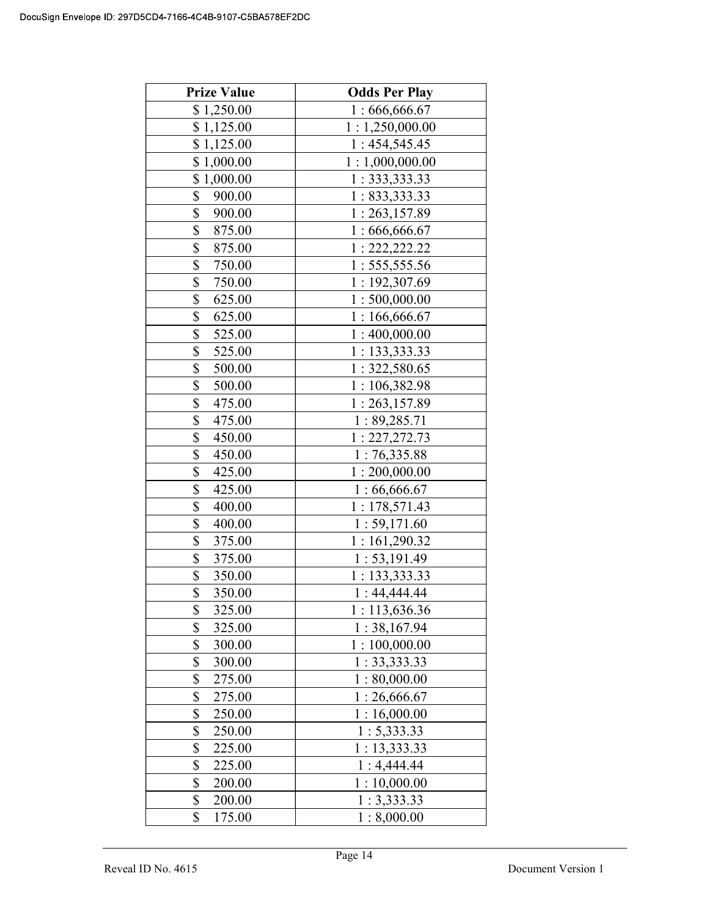| <b>Prize Value</b>                | <b>Odds Per Play</b> |
|-----------------------------------|----------------------|
| \$1,250.00                        | 1:666,666.67         |
| \$1,125.00                        | 1:1,250,000.00       |
| \$1,125.00                        | 1:454,545.45         |
| \$1,000.00                        | 1:1,000,000.00       |
| \$1,000.00                        | 1:333,333.33         |
| \$<br>900.00                      | 1: 833,333.33        |
| \$<br>900.00                      | 1:263,157.89         |
| \$<br>875.00                      | 1:666,666.67         |
| \$<br>875.00                      | 1: 222, 222.22       |
| \$<br>750.00                      | 1: 555, 555.56       |
| \$<br>750.00                      | 1:192,307.69         |
| \$<br>625.00                      | 1:500,000.00         |
| \$<br>625.00                      | 1:166,666.67         |
| \$<br>525.00                      | 1:400,000.00         |
| \$<br>525.00                      | 1: 133,333.33        |
| \$<br>500.00                      | 1:322,580.65         |
| \$<br>500.00                      | 1:106,382.98         |
| \$<br>475.00                      | 1:263,157.89         |
| \$<br>475.00                      | 1:89,285.71          |
| \$<br>450.00                      | 1: 227, 272.73       |
| \$<br>450.00                      | 1:76,335.88          |
| \$<br>425.00                      | 1:200,000.00         |
| \$<br>425.00                      | 1:66,666.67          |
| \$<br>400.00                      | 1:178,571.43         |
| \$<br>400.00                      | 1:59,171.60          |
| \$<br>375.00                      | 1:161,290.32         |
| \$<br>375.00                      | 1: 53, 191.49        |
| \$<br>350.00                      | 1: 133,333.33        |
| $\overline{\mathbb{S}}$<br>350.00 | 1:44,444.44          |
| \$<br>325.00                      | 1:113,636.36         |
| \$<br>325.00                      | 1:38,167.94          |
| \$<br>300.00                      | 1:100,000.00         |
| \$<br>300.00                      | 1: 33,333.33         |
| \$<br>275.00                      | 1:80,000.00          |
| \$<br>275.00                      | 1:26,666.67          |
| \$<br>250.00                      | 1:16,000.00          |
| \$<br>250.00                      | 1: 5,333.33          |
| \$<br>225.00                      | 1: 13,333.33         |
| \$<br>225.00                      | 1:4,444.44           |
| \$<br>200.00                      | 1:10,000.00          |
| \$<br>200.00                      | 1:3,333.33           |
| \$<br>175.00                      | 1:8,000.00           |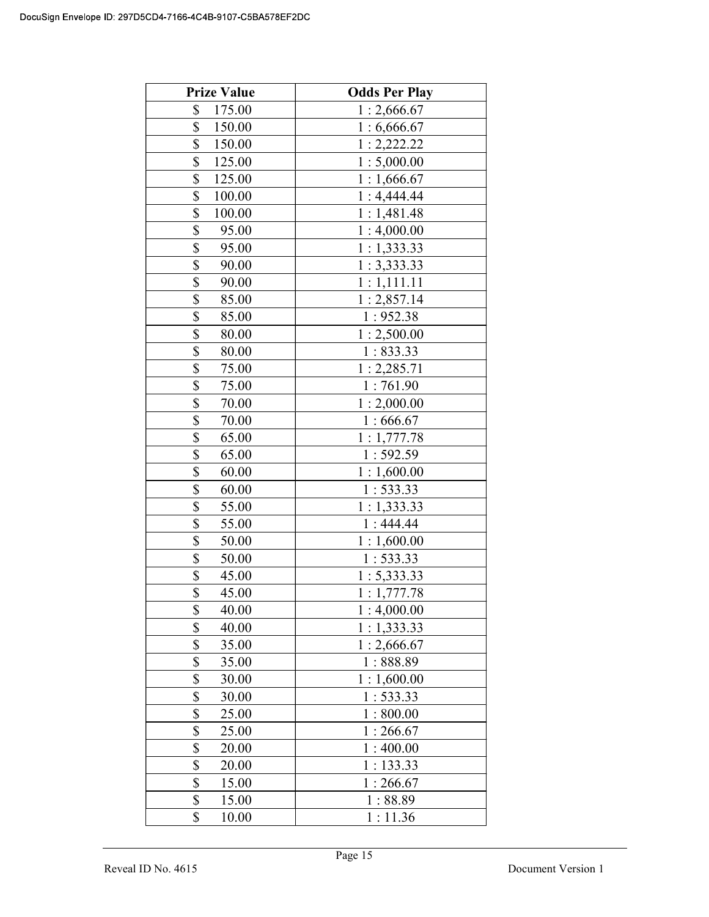| <b>Prize Value</b> | <b>Odds Per Play</b> |
|--------------------|----------------------|
| \$<br>175.00       | 1:2,666.67           |
| \$<br>150.00       | 1:6,666.67           |
| \$<br>150.00       | 1:2,222.22           |
| \$<br>125.00       | 1:5,000.00           |
| \$<br>125.00       | 1:1,666.67           |
| \$<br>100.00       | 1:4,444.44           |
| \$<br>100.00       | 1:1,481.48           |
| \$<br>95.00        | 1:4,000.00           |
| \$<br>95.00        | 1:1,333.33           |
| \$<br>90.00        | 1:3,333.33           |
| \$<br>90.00        | 1:1,111.11           |
| \$<br>85.00        | 1:2,857.14           |
| \$<br>85.00        | 1:952.38             |
| \$<br>80.00        | 1:2,500.00           |
| \$<br>80.00        | 1:833.33             |
| \$<br>75.00        | 1: 2,285.71          |
| \$<br>75.00        | 1:761.90             |
| \$<br>70.00        | 1:2,000.00           |
| \$<br>70.00        | 1:666.67             |
| \$<br>65.00        | 1:1,777.78           |
| \$<br>65.00        | 1:592.59             |
| \$<br>60.00        | 1:1,600.00           |
| \$<br>60.00        | 1:533.33             |
| \$<br>55.00        | 1:1,333.33           |
| \$<br>55.00        | 1:444.44             |
| \$<br>50.00        | 1:1,600.00           |
| \$<br>50.00        | 1:533.33             |
| \$<br>45.00        | 1: 5,333.33          |
| \$<br>45.00        | 1:1,777.78           |
| \$<br>40.00        | 1:4,000.00           |
| \$<br>40.00        | 1:1,333.33           |
| \$<br>35.00        | 1:2,666.67           |
| \$<br>35.00        | 1:888.89             |
| \$<br>30.00        | 1:1,600.00           |
| \$<br>30.00        | 1: 533.33            |
| \$<br>25.00        | 1:800.00             |
| \$<br>25.00        | 1:266.67             |
| \$<br>20.00        | 1:400.00             |
| \$<br>20.00        | 1:133.33             |
| \$<br>15.00        | 1:266.67             |
| \$<br>15.00        | 1:88.89              |
| \$<br>10.00        | 1:11.36              |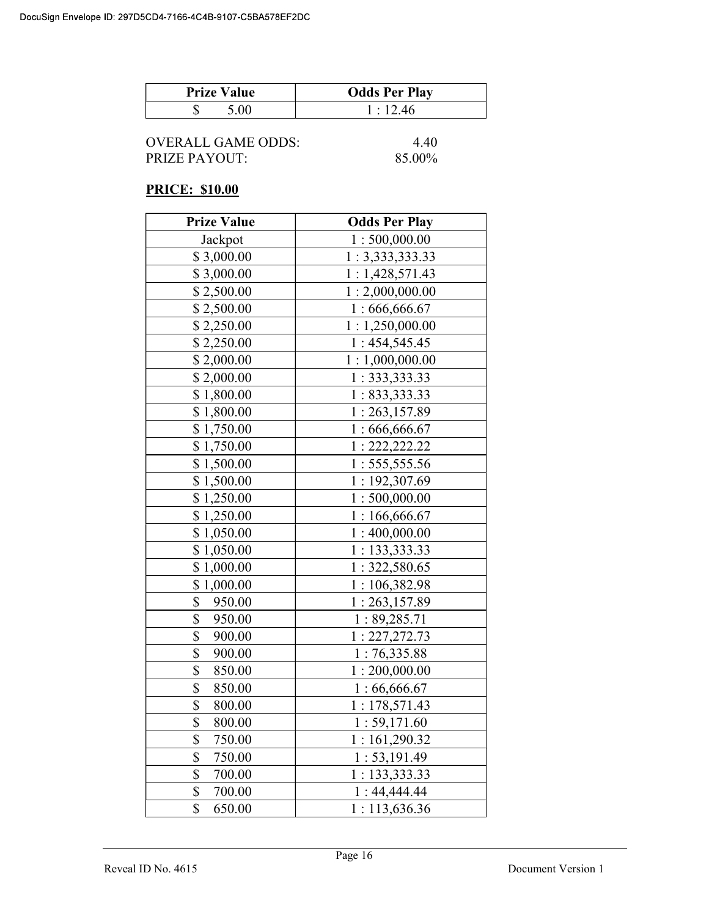| <b>Prize Value</b> | <b>Odds Per Play</b> |
|--------------------|----------------------|
|                    | 1:12.46              |

| OVERALL GAME ODDS: | 4.40   |
|--------------------|--------|
| PRIZE PAYOUT:      | 85.00% |

# PRICE: \$10.00

| <b>Prize Value</b> | <b>Odds Per Play</b> |
|--------------------|----------------------|
| Jackpot            | 1:500,000.00         |
| \$3,000.00         | 1:3,333,333.33       |
| \$3,000.00         | 1:1,428,571.43       |
| \$2,500.00         | 1:2,000,000.00       |
| \$2,500.00         | 1:666,666.67         |
| \$2,250.00         | 1:1,250,000.00       |
| \$2,250.00         | 1:454,545.45         |
| \$2,000.00         | 1:1,000,000.00       |
| \$2,000.00         | 1: 333, 333.33       |
| \$1,800.00         | 1: 833, 333.33       |
| \$1,800.00         | 1:263,157.89         |
| \$1,750.00         | 1:666,666.67         |
| \$1,750.00         | 1: 222, 222.22       |
| \$1,500.00         | 1: 555, 555.56       |
| \$1,500.00         | 1:192,307.69         |
| \$1,250.00         | 1:500,000.00         |
| \$1,250.00         | 1:166,666.67         |
| \$1,050.00         | 1:400,000.00         |
| \$1,050.00         | 1: 133,333.33        |
| \$1,000.00         | 1:322,580.65         |
| \$1,000.00         | 1:106,382.98         |
| \$<br>950.00       | 1:263,157.89         |
| \$<br>950.00       | 1:89,285.71          |
| \$<br>900.00       | 1:227,272.73         |
| \$<br>900.00       | 1:76,335.88          |
| \$<br>850.00       | 1:200,000.00         |
| \$<br>850.00       | 1:66,666.67          |
| \$<br>800.00       | 1:178,571.43         |
| \$<br>800.00       | 1: 59, 171.60        |
| \$<br>750.00       | 1:161,290.32         |
| \$<br>750.00       | 1: 53, 191.49        |
| \$<br>700.00       | 1: 133,333.33        |
| \$<br>700.00       | 1:44,444.44          |
| \$<br>650.00       | 1:113,636.36         |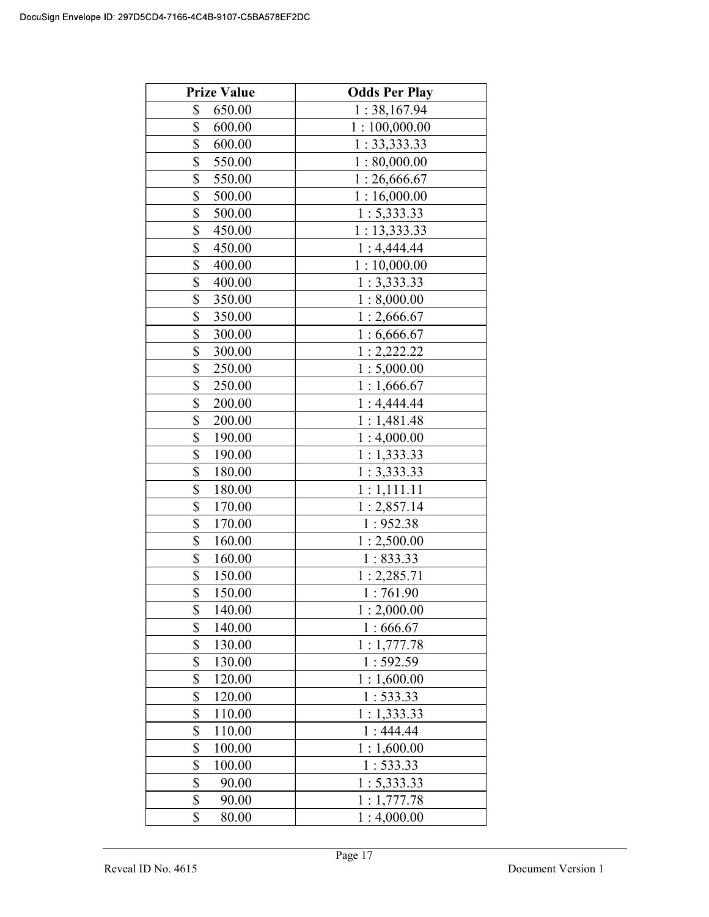| <b>Prize Value</b> | <b>Odds Per Play</b> |
|--------------------|----------------------|
| \$<br>650.00       | 1:38,167.94          |
| \$<br>600.00       | 1:100,000.00         |
| \$<br>600.00       | 1: 33, 333.33        |
| \$<br>550.00       | 1:80,000.00          |
| \$<br>550.00       | 1:26,666.67          |
| \$<br>500.00       | 1:16,000.00          |
| \$<br>500.00       | 1: 5,333.33          |
| \$<br>450.00       | 1: 13,333.33         |
| \$<br>450.00       | 1:4,444.44           |
| \$<br>400.00       | 1:10,000.00          |
| \$<br>400.00       | 1:3,333.33           |
| \$<br>350.00       | 1:8,000.00           |
| \$<br>350.00       | 1:2,666.67           |
| \$<br>300.00       | 1:6,666.67           |
| \$<br>300.00       | 1:2,222.22           |
| \$<br>250.00       | 1:5,000.00           |
| \$<br>250.00       | 1:1,666.67           |
| \$<br>200.00       | 1:4,444.44           |
| \$<br>200.00       | 1:1,481.48           |
| \$<br>190.00       | 1:4,000.00           |
| \$<br>190.00       | 1:1,333.33           |
| \$<br>180.00       | 1:3,333.33           |
| \$<br>180.00       | 1:1,111.11           |
| \$<br>170.00       | 1:2,857.14           |
| \$<br>170.00       | 1:952.38             |
| \$<br>160.00       | 1:2,500.00           |
| \$<br>160.00       | 1:833.33             |
| \$<br>150.00       | 1: 2,285.71          |
| \$<br>150.00       | 1:761.90             |
| \$<br>140.00       | 1:2,000.00           |
| \$<br>140.00       | 1:666.67             |
| \$<br>130.00       | 1:1,777.78           |
| \$<br>130.00       | 1:592.59             |
| \$<br>120.00       | 1:1,600.00           |
| \$<br>120.00       | 1:533.33             |
| \$<br>110.00       | 1:1,333.33           |
| \$<br>110.00       | 1:444.44             |
| \$<br>100.00       | 1:1,600.00           |
| \$<br>100.00       | 1:533.33             |
| \$<br>90.00        | 1: 5,333.33          |
| \$<br>90.00        | 1:1,777.78           |
| \$<br>80.00        | 1:4,000.00           |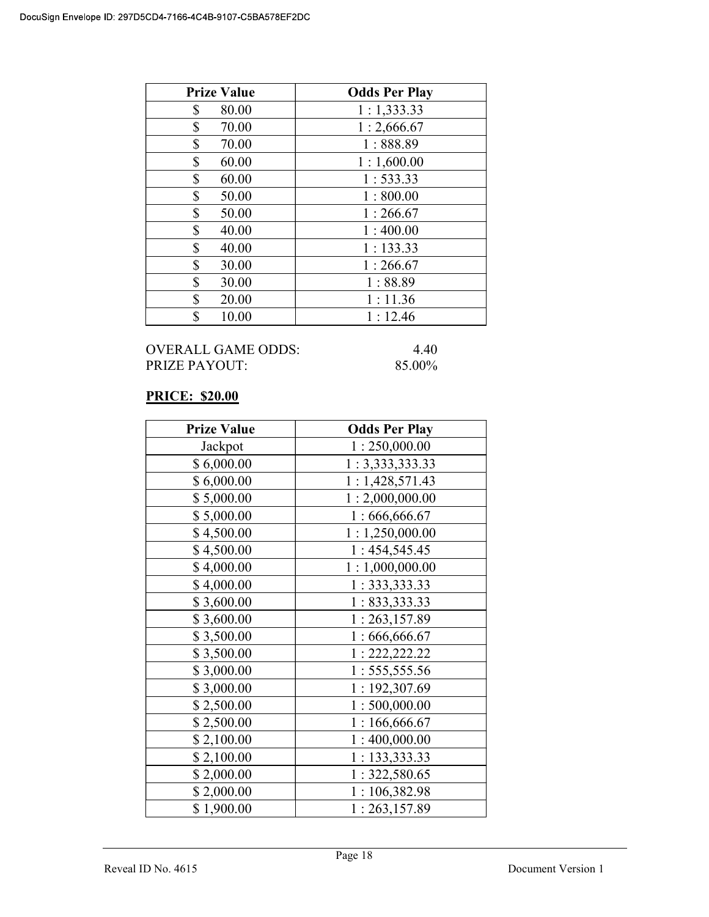| <b>Prize Value</b> | <b>Odds Per Play</b> |
|--------------------|----------------------|
| \$<br>80.00        | 1:1,333.33           |
| \$<br>70.00        | 1:2,666.67           |
| \$<br>70.00        | 1:888.89             |
| \$<br>60.00        | 1:1,600.00           |
| \$<br>60.00        | 1:533.33             |
| \$<br>50.00        | 1:800.00             |
| \$<br>50.00        | 1:266.67             |
| \$<br>40.00        | 1:400.00             |
| \$<br>40.00        | 1:133.33             |
| \$<br>30.00        | 1:266.67             |
| \$<br>30.00        | 1:88.89              |
| \$<br>20.00        | 1:11.36              |
| \$<br>10.00        | 1:12.46              |

#### OVERALL GAME ODDS: 4.40<br>PRIZE PAYOUT: 85.00% PRIZE PAYOUT:

# PRICE: \$20.00

| <b>Prize Value</b> | <b>Odds Per Play</b> |
|--------------------|----------------------|
| Jackpot            | 1:250,000.00         |
| \$6,000.00         | 1:3,333,333.33       |
| \$6,000.00         | 1:1,428,571.43       |
| \$5,000.00         | 1:2,000,000.00       |
| \$5,000.00         | 1:666,666.67         |
| \$4,500.00         | 1:1,250,000.00       |
| \$4,500.00         | 1:454,545.45         |
| \$4,000.00         | 1:1,000,000.00       |
| \$4,000.00         | 1:333,333.33         |
| \$3,600.00         | 1: 833,333.33        |
| \$3,600.00         | 1:263,157.89         |
| \$3,500.00         | 1:666,666.67         |
| \$3,500.00         | 1: 222, 222.22       |
| \$3,000.00         | 1: 555, 555.56       |
| \$3,000.00         | 1:192,307.69         |
| \$2,500.00         | 1:500,000.00         |
| \$2,500.00         | 1:166,666.67         |
| \$2,100.00         | 1:400,000.00         |
| \$2,100.00         | 1: 133, 333.33       |
| \$2,000.00         | 1:322,580.65         |
| \$2,000.00         | 1:106,382.98         |
| \$1,900.00         | 1:263,157.89         |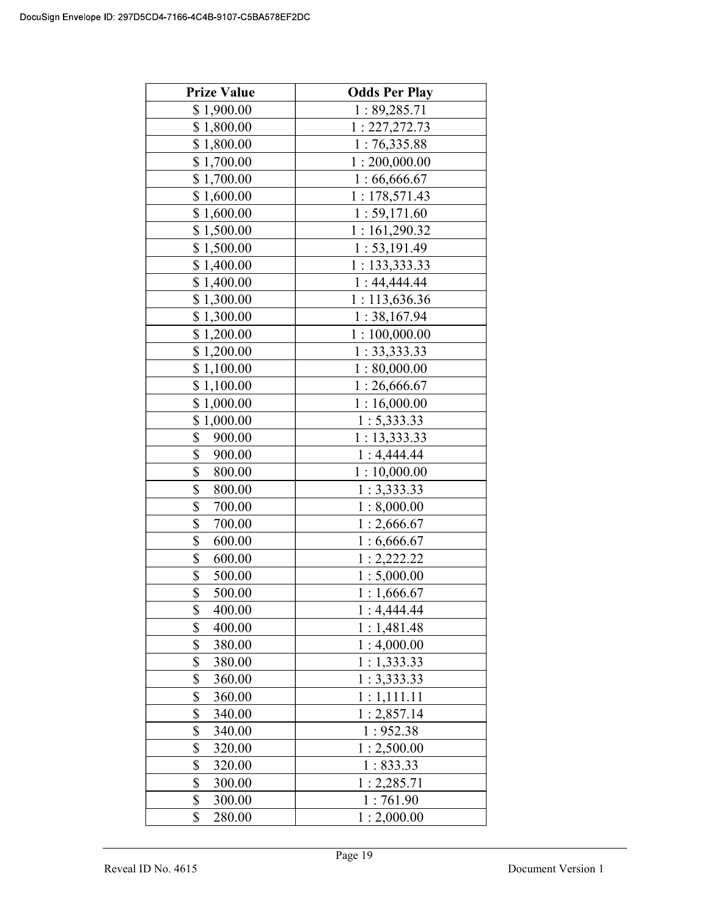| <b>Prize Value</b> | <b>Odds Per Play</b> |
|--------------------|----------------------|
| \$1,900.00         | 1:89,285.71          |
| \$1,800.00         | 1: 227, 272.73       |
| \$1,800.00         | 1:76,335.88          |
| \$1,700.00         | 1:200,000.00         |
| \$1,700.00         | 1:66,666.67          |
| \$1,600.00         | 1:178,571.43         |
| \$1,600.00         | 1: 59,171.60         |
| \$1,500.00         | 1:161,290.32         |
| \$1,500.00         | 1: 53, 191.49        |
| \$1,400.00         | 1: 133,333.33        |
| \$1,400.00         | 1:44,444.44          |
| \$1,300.00         | 1:113,636.36         |
| \$1,300.00         | 1:38,167.94          |
| \$1,200.00         | 1:100,000.00         |
| \$1,200.00         | 1: 33,333.33         |
| \$1,100.00         | 1:80,000.00          |
| \$1,100.00         | 1:26,666.67          |
| \$1,000.00         | 1:16,000.00          |
| \$1,000.00         | 1: 5,333.33          |
| \$<br>900.00       | 1: 13,333.33         |
| \$<br>900.00       | 1:4,444.44           |
| \$<br>800.00       | 1:10,000.00          |
| \$<br>800.00       | 1:3,333.33           |
| \$<br>700.00       | 1:8,000.00           |
| \$<br>700.00       | 1:2,666.67           |
| \$<br>600.00       | 1:6,666.67           |
| \$<br>600.00       | 1:2,222.22           |
| \$<br>500.00       | 1:5,000.00           |
| \$<br>500.00       | 1:1,666.67           |
| \$<br>400.00       | 1:4,444.44           |
| \$<br>400.00       | 1:1,481.48           |
| \$<br>380.00       | 1:4,000.00           |
| \$<br>380.00       | 1:1,333.33           |
| \$<br>360.00       | 1:3,333.33           |
| \$<br>360.00       | 1:1,111.11           |
| \$<br>340.00       | 1:2,857.14           |
| \$<br>340.00       | 1:952.38             |
| \$<br>320.00       | 1:2,500.00           |
| \$<br>320.00       | 1:833.33             |
| \$<br>300.00       | 1:2,285.71           |
| \$<br>300.00       | 1:761.90             |
| \$<br>280.00       | 1:2,000.00           |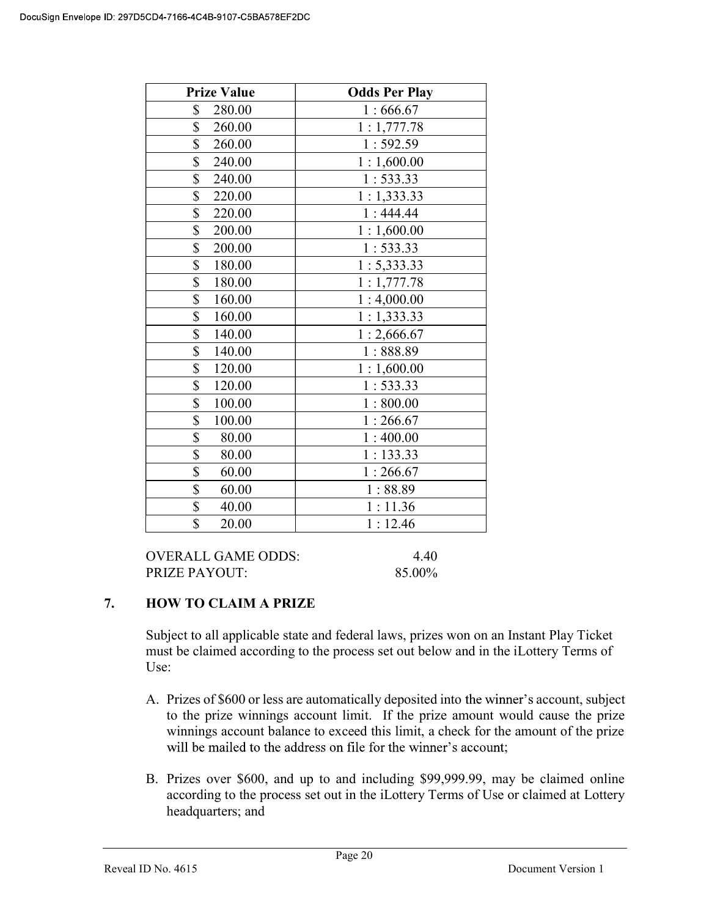| <b>Prize Value</b>        | <b>Odds Per Play</b> |
|---------------------------|----------------------|
| \$<br>280.00              | 1:666.67             |
| \$<br>260.00              | 1:1,777.78           |
| \$<br>260.00              | 1:592.59             |
| \$<br>240.00              | 1:1,600.00           |
| \$<br>240.00              | 1:533.33             |
| \$<br>220.00              | 1:1,333.33           |
| \$<br>220.00              | 1:444.44             |
| \$<br>200.00              | 1:1,600.00           |
| \$<br>200.00              | 1:533.33             |
| $\overline{\$}$<br>180.00 | 1: 5,333.33          |
| \$<br>180.00              | 1:1,777.78           |
| \$<br>160.00              | 1:4,000.00           |
| \$<br>160.00              | 1:1,333.33           |
| \$<br>140.00              | 1:2,666.67           |
| \$<br>140.00              | 1:888.89             |
| \$<br>120.00              | 1:1,600.00           |
| \$<br>120.00              | 1:533.33             |
| \$<br>100.00              | 1:800.00             |
| \$<br>100.00              | 1:266.67             |
| \$<br>80.00               | 1:400.00             |
| \$<br>80.00               | 1:133.33             |
| \$<br>60.00               | 1:266.67             |
| \$<br>60.00               | 1:88.89              |
| \$<br>40.00               | 1:11.36              |
| \$<br>20.00               | 1:12.46              |

| OVERALL GAME ODDS: | 4.40   |
|--------------------|--------|
| PRIZE PAYOUT:      | 85.00% |

# 7. HOW TO CLAIM A PRIZE

Subject to all applicable state and federal laws, prizes won on an Instant Play Ticket must be claimed according to the process set out below and in the iLottery Terms of Use:

- A. Prizes of \$600 or less are automatically deposited into the winner's account, subject to the prize winnings account limit. If the prize amount would cause the prize winnings account balance to exceed this limit, a check for the amount of the prize will be mailed to the address on file for the winner's account;
- B. Prizes over \$600, and up to and including \$99,999.99, may be claimed online according to the process set out in the iLottery Terms of Use or claimed at Lottery headquarters; and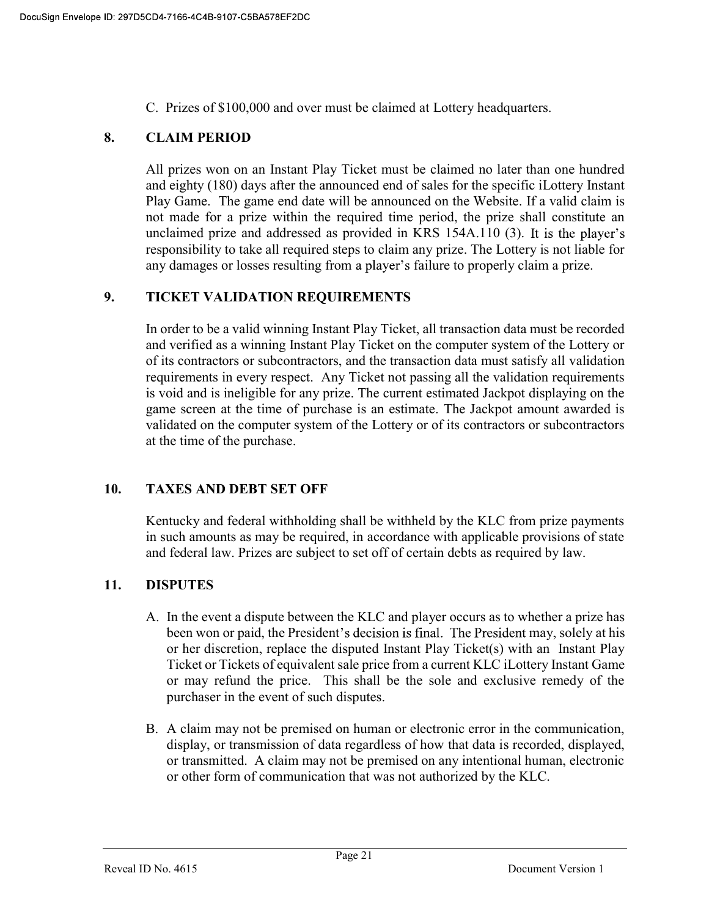C. Prizes of \$100,000 and over must be claimed at Lottery headquarters.

# 8. CLAIM PERIOD

 All prizes won on an Instant Play Ticket must be claimed no later than one hundred and eighty (180) days after the announced end of sales for the specific iLottery Instant Play Game. The game end date will be announced on the Website. If a valid claim is not made for a prize within the required time period, the prize shall constitute an unclaimed prize and addressed as provided in KRS 154A.110 (3). responsibility to take all required steps to claim any prize. The Lottery is not liable for any damages or losses resulting from a player's failure to properly claim a prize.

# 9. TICKET VALIDATION REQUIREMENTS

In order to be a valid winning Instant Play Ticket, all transaction data must be recorded and verified as a winning Instant Play Ticket on the computer system of the Lottery or of its contractors or subcontractors, and the transaction data must satisfy all validation requirements in every respect. Any Ticket not passing all the validation requirements is void and is ineligible for any prize. The current estimated Jackpot displaying on the game screen at the time of purchase is an estimate. The Jackpot amount awarded is validated on the computer system of the Lottery or of its contractors or subcontractors at the time of the purchase.

# 10. TAXES AND DEBT SET OFF

 Kentucky and federal withholding shall be withheld by the KLC from prize payments in such amounts as may be required, in accordance with applicable provisions of state and federal law. Prizes are subject to set off of certain debts as required by law.

# 11. DISPUTES

- A. In the event a dispute between the KLC and player occurs as to whether a prize has been won or paid, the President's decision is final. The President may, solely at his or her discretion, replace the disputed Instant Play Ticket(s) with an Instant Play Ticket or Tickets of equivalent sale price from a current KLC iLottery Instant Game or may refund the price. This shall be the sole and exclusive remedy of the purchaser in the event of such disputes.
- B. A claim may not be premised on human or electronic error in the communication, display, or transmission of data regardless of how that data is recorded, displayed, or transmitted. A claim may not be premised on any intentional human, electronic or other form of communication that was not authorized by the KLC.